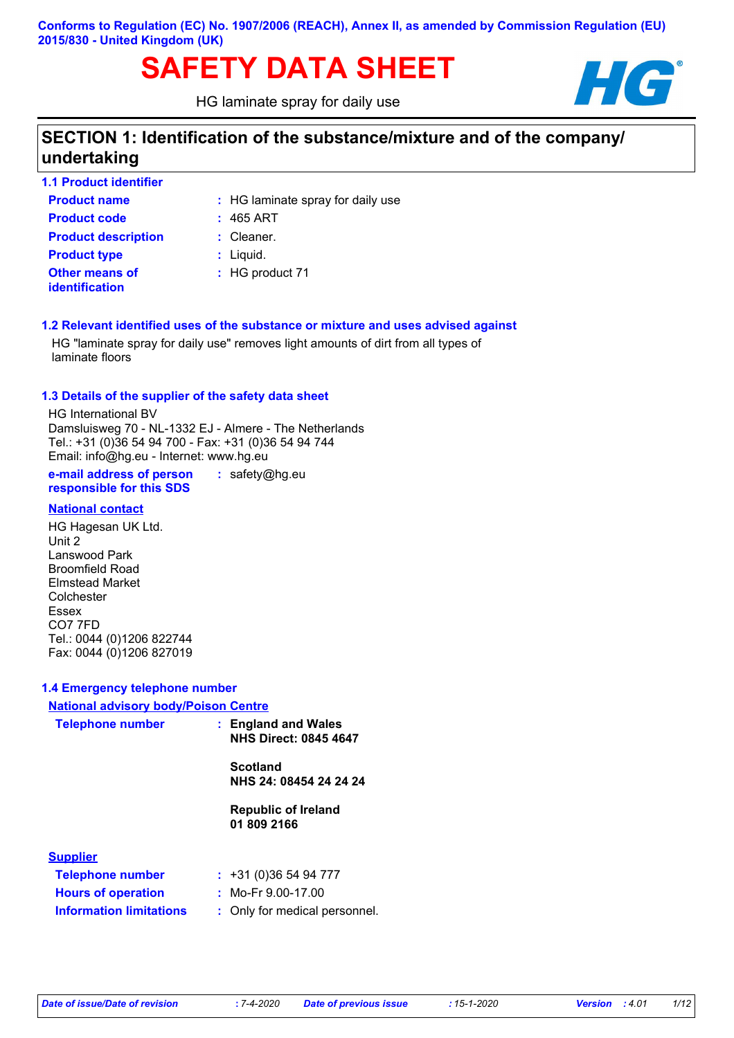# **SAFETY DATA SHEET HG**

HG laminate spray for daily use



# **SECTION 1: Identification of the substance/mixture and of the company/ undertaking**

| 1.1 Product identifier                  |                                   |
|-----------------------------------------|-----------------------------------|
| <b>Product name</b>                     | : HG laminate spray for daily use |
| <b>Product code</b>                     | $: 465$ ART                       |
| <b>Product description</b>              | $:$ Cleaner.                      |
| <b>Product type</b>                     | $:$ Liquid.                       |
| <b>Other means of</b><br>identification | : HG product 71                   |

#### **1.2 Relevant identified uses of the substance or mixture and uses advised against**

HG "laminate spray for daily use" removes light amounts of dirt from all types of laminate floors

#### **1.3 Details of the supplier of the safety data sheet**

HG International BV Damsluisweg 70 - NL-1332 EJ - Almere - The Netherlands Tel.: +31 (0)36 54 94 700 - Fax: +31 (0)36 54 94 744 Email: info@hg.eu - Internet: www.hg.eu

**e-mail address of person responsible for this SDS :** safety@hg.eu

#### **National contact**

HG Hagesan UK Ltd. Unit 2 Lanswood Park Broomfield Road Elmstead Market Colchester Essex CO7 7FD Tel.: 0044 (0)1206 822744 Fax: 0044 (0)1206 827019

#### **1.4 Emergency telephone number**

| <b>National advisory body/Poison Centre</b> |                                                     |
|---------------------------------------------|-----------------------------------------------------|
| <b>Telephone number</b>                     | : England and Wales<br><b>NHS Direct: 0845 4647</b> |
|                                             | <b>Scotland</b><br>NHS 24: 08454 24 24 24           |
|                                             | <b>Republic of Ireland</b><br>01 809 2166           |
| <b>Supplier</b>                             |                                                     |
| <b>Telephone number</b>                     | $: +31(0)365494777$                                 |
| <b>Hours of operation</b>                   | $\pm$ Mo-Fr 9.00-17.00                              |
| <b>Information limitations</b>              | : Only for medical personnel.                       |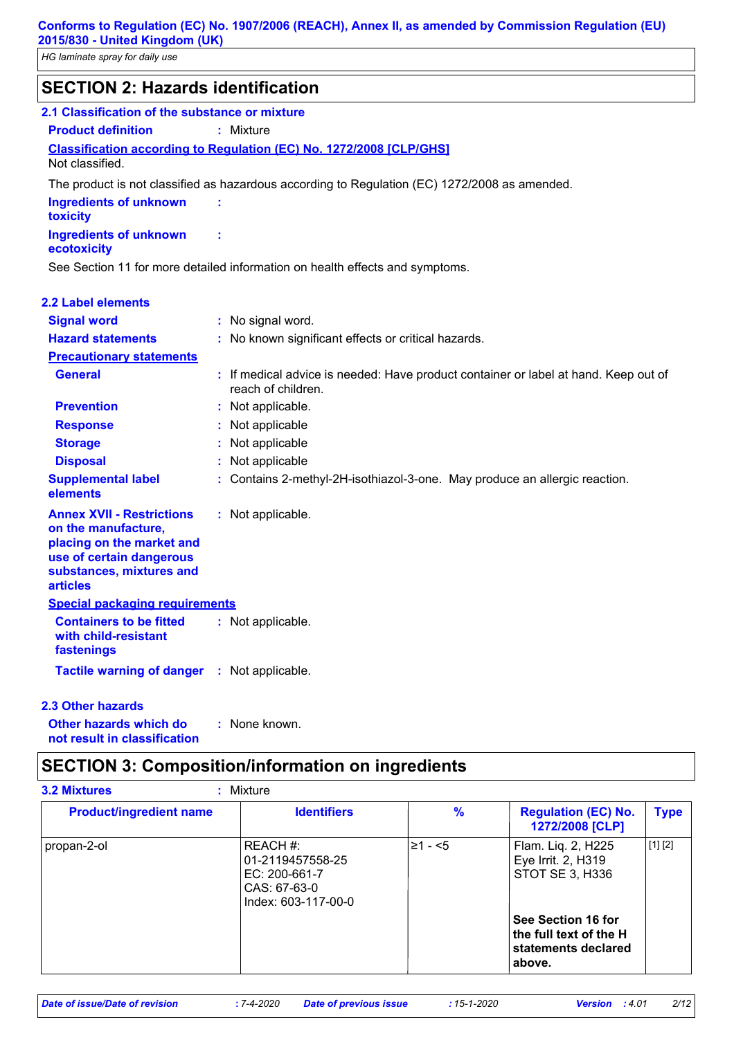*HG laminate spray for daily use*

| <b>SECTION 2: Hazards identification</b>                                                                                                                        |                                                                                                           |
|-----------------------------------------------------------------------------------------------------------------------------------------------------------------|-----------------------------------------------------------------------------------------------------------|
| 2.1 Classification of the substance or mixture                                                                                                                  |                                                                                                           |
| <b>Product definition</b>                                                                                                                                       | : Mixture                                                                                                 |
|                                                                                                                                                                 | <b>Classification according to Regulation (EC) No. 1272/2008 [CLP/GHS]</b>                                |
| Not classified.                                                                                                                                                 |                                                                                                           |
|                                                                                                                                                                 | The product is not classified as hazardous according to Regulation (EC) 1272/2008 as amended.             |
| <b>Ingredients of unknown</b><br>toxicity                                                                                                                       |                                                                                                           |
| <b>Ingredients of unknown</b><br>ecotoxicity                                                                                                                    | t                                                                                                         |
|                                                                                                                                                                 | See Section 11 for more detailed information on health effects and symptoms.                              |
| 2.2 Label elements                                                                                                                                              |                                                                                                           |
| <b>Signal word</b>                                                                                                                                              | : No signal word.                                                                                         |
| <b>Hazard statements</b>                                                                                                                                        | : No known significant effects or critical hazards.                                                       |
| <b>Precautionary statements</b>                                                                                                                                 |                                                                                                           |
| <b>General</b>                                                                                                                                                  | : If medical advice is needed: Have product container or label at hand. Keep out of<br>reach of children. |
| <b>Prevention</b>                                                                                                                                               | : Not applicable.                                                                                         |
| <b>Response</b>                                                                                                                                                 | Not applicable                                                                                            |
| <b>Storage</b>                                                                                                                                                  | Not applicable                                                                                            |
| <b>Disposal</b>                                                                                                                                                 | Not applicable                                                                                            |
| <b>Supplemental label</b><br>elements                                                                                                                           | : Contains 2-methyl-2H-isothiazol-3-one. May produce an allergic reaction.                                |
| <b>Annex XVII - Restrictions</b><br>on the manufacture,<br>placing on the market and<br>use of certain dangerous<br>substances, mixtures and<br><b>articles</b> | : Not applicable.                                                                                         |
| <b>Special packaging requirements</b>                                                                                                                           |                                                                                                           |
| <b>Containers to be fitted</b><br>with child-resistant<br>fastenings                                                                                            | : Not applicable.                                                                                         |
| <b>Tactile warning of danger : Not applicable.</b>                                                                                                              |                                                                                                           |

#### **2.3 Other hazards**

**Other hazards which do : not result in classification** : None known.

# **SECTION 3: Composition/information on ingredients**

| <b>Product/ingredient name</b> | <b>Identifiers</b>                                                                     | $\%$         | <b>Regulation (EC) No.</b><br>1272/2008 [CLP]                                 | <b>Type</b> |
|--------------------------------|----------------------------------------------------------------------------------------|--------------|-------------------------------------------------------------------------------|-------------|
| propan-2-ol                    | REACH #:<br>  01-2119457558-25<br>EC: 200-661-7<br>CAS: 67-63-0<br>Index: 603-117-00-0 | $\geq 1 - 5$ | Flam. Liq. 2, H225<br>Eye Irrit. 2, H319<br>STOT SE 3, H336                   | [1] [2]     |
|                                |                                                                                        |              | See Section 16 for<br>the full text of the H<br>statements declared<br>above. |             |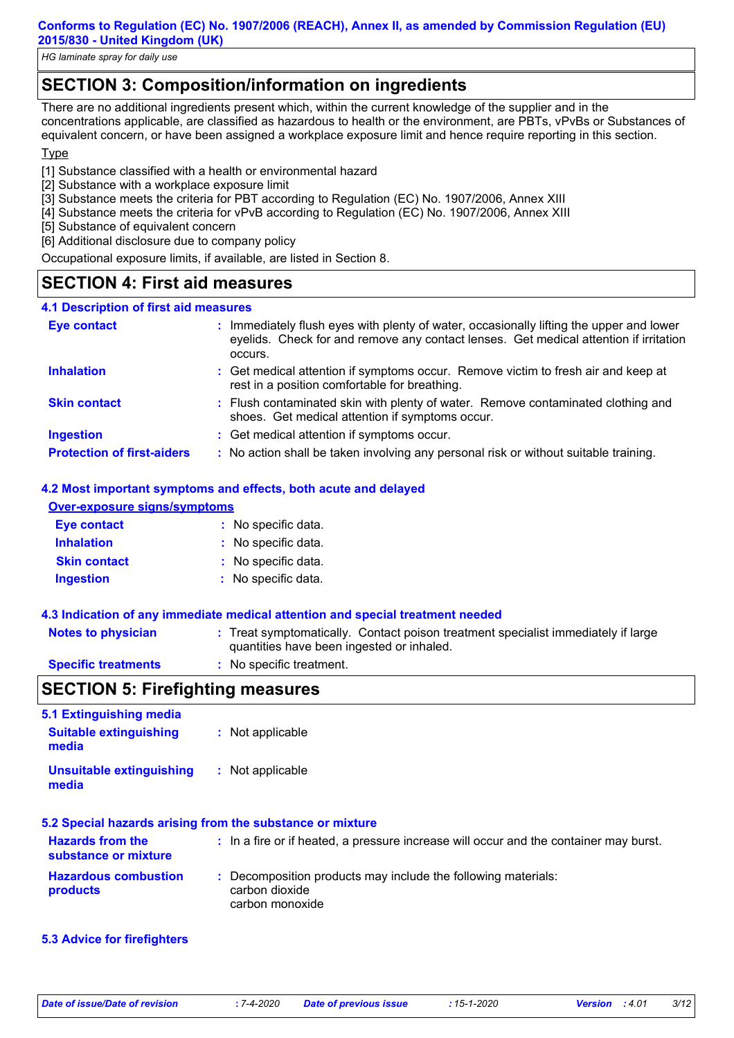*HG laminate spray for daily use*

# **SECTION 3: Composition/information on ingredients**

There are no additional ingredients present which, within the current knowledge of the supplier and in the concentrations applicable, are classified as hazardous to health or the environment, are PBTs, vPvBs or Substances of equivalent concern, or have been assigned a workplace exposure limit and hence require reporting in this section.

## **Type**

[1] Substance classified with a health or environmental hazard

- [2] Substance with a workplace exposure limit
- [3] Substance meets the criteria for PBT according to Regulation (EC) No. 1907/2006, Annex XIII
- [4] Substance meets the criteria for vPvB according to Regulation (EC) No. 1907/2006, Annex XIII
- [5] Substance of equivalent concern
- [6] Additional disclosure due to company policy

Occupational exposure limits, if available, are listed in Section 8.

## **SECTION 4: First aid measures**

#### **4.1 Description of first aid measures**

| <b>Eye contact</b>                | : Immediately flush eyes with plenty of water, occasionally lifting the upper and lower<br>eyelids. Check for and remove any contact lenses. Get medical attention if irritation<br>occurs. |
|-----------------------------------|---------------------------------------------------------------------------------------------------------------------------------------------------------------------------------------------|
| <b>Inhalation</b>                 | : Get medical attention if symptoms occur. Remove victim to fresh air and keep at<br>rest in a position comfortable for breathing.                                                          |
| <b>Skin contact</b>               | : Flush contaminated skin with plenty of water. Remove contaminated clothing and<br>shoes. Get medical attention if symptoms occur.                                                         |
| <b>Ingestion</b>                  | : Get medical attention if symptoms occur.                                                                                                                                                  |
| <b>Protection of first-aiders</b> | : No action shall be taken involving any personal risk or without suitable training.                                                                                                        |

## **4.2 Most important symptoms and effects, both acute and delayed**

| Over-exposure signs/symptoms |                     |  |  |
|------------------------------|---------------------|--|--|
| <b>Eye contact</b>           | : No specific data. |  |  |
| <b>Inhalation</b>            | : No specific data. |  |  |
| <b>Skin contact</b>          | : No specific data. |  |  |
| <b>Ingestion</b>             | : No specific data. |  |  |

#### **4.3 Indication of any immediate medical attention and special treatment needed**

| <b>Notes to physician</b> | : Treat symptomatically. Contact poison treatment specialist immediately if large<br>quantities have been ingested or inhaled. |
|---------------------------|--------------------------------------------------------------------------------------------------------------------------------|
| Canalfia trantmarta       | . Na annaifin trantmant                                                                                                        |

**Specific treatments :** No specific treatment.

## **SECTION 5: Firefighting measures**

| 5.1 Extinguishing media                                   |                  |  |  |
|-----------------------------------------------------------|------------------|--|--|
| <b>Suitable extinguishing</b><br>media                    | : Not applicable |  |  |
| <b>Unsuitable extinguishing</b><br>media                  | : Not applicable |  |  |
| 5.2 Special hazards arising from the substance or mixture |                  |  |  |

| <b>Hazards from the</b><br>substance or mixture | : In a fire or if heated, a pressure increase will occur and the container may burst.              |
|-------------------------------------------------|----------------------------------------------------------------------------------------------------|
| <b>Hazardous combustion</b><br><b>products</b>  | : Decomposition products may include the following materials:<br>carbon dioxide<br>carbon monoxide |

#### **5.3 Advice for firefighters**

*Date of issue/Date of revision* **:** *7-4-2020 Date of previous issue : 15-1-2020 Version : 4.01 3/12*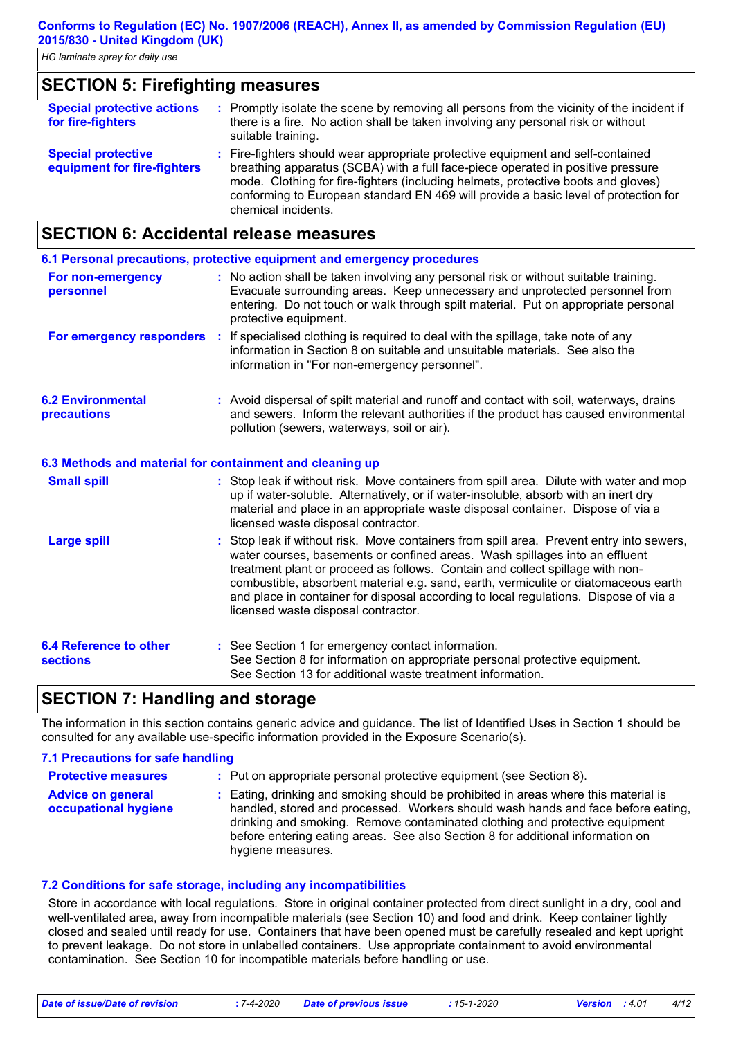| <b>Special protective actions</b><br>for fire-fighters   | : Promptly isolate the scene by removing all persons from the vicinity of the incident if<br>there is a fire. No action shall be taken involving any personal risk or without<br>suitable training.                                                                                                                                                                   |
|----------------------------------------------------------|-----------------------------------------------------------------------------------------------------------------------------------------------------------------------------------------------------------------------------------------------------------------------------------------------------------------------------------------------------------------------|
| <b>Special protective</b><br>equipment for fire-fighters | : Fire-fighters should wear appropriate protective equipment and self-contained<br>breathing apparatus (SCBA) with a full face-piece operated in positive pressure<br>mode. Clothing for fire-fighters (including helmets, protective boots and gloves)<br>conforming to European standard EN 469 will provide a basic level of protection for<br>chemical incidents. |

## **SECTION 6: Accidental release measures**

|                                                          | 6.1 Personal precautions, protective equipment and emergency procedures                                                                                                                                                                                                                                                                                                                                                                                                        |
|----------------------------------------------------------|--------------------------------------------------------------------------------------------------------------------------------------------------------------------------------------------------------------------------------------------------------------------------------------------------------------------------------------------------------------------------------------------------------------------------------------------------------------------------------|
| For non-emergency<br>personnel                           | : No action shall be taken involving any personal risk or without suitable training.<br>Evacuate surrounding areas. Keep unnecessary and unprotected personnel from<br>entering. Do not touch or walk through spilt material. Put on appropriate personal<br>protective equipment.                                                                                                                                                                                             |
|                                                          | For emergency responders : If specialised clothing is required to deal with the spillage, take note of any<br>information in Section 8 on suitable and unsuitable materials. See also the<br>information in "For non-emergency personnel".                                                                                                                                                                                                                                     |
| <b>6.2 Environmental</b><br>precautions                  | : Avoid dispersal of spilt material and runoff and contact with soil, waterways, drains<br>and sewers. Inform the relevant authorities if the product has caused environmental<br>pollution (sewers, waterways, soil or air).                                                                                                                                                                                                                                                  |
| 6.3 Methods and material for containment and cleaning up |                                                                                                                                                                                                                                                                                                                                                                                                                                                                                |
| <b>Small spill</b>                                       | : Stop leak if without risk. Move containers from spill area. Dilute with water and mop<br>up if water-soluble. Alternatively, or if water-insoluble, absorb with an inert dry<br>material and place in an appropriate waste disposal container. Dispose of via a<br>licensed waste disposal contractor.                                                                                                                                                                       |
| <b>Large spill</b>                                       | : Stop leak if without risk. Move containers from spill area. Prevent entry into sewers,<br>water courses, basements or confined areas. Wash spillages into an effluent<br>treatment plant or proceed as follows. Contain and collect spillage with non-<br>combustible, absorbent material e.g. sand, earth, vermiculite or diatomaceous earth<br>and place in container for disposal according to local regulations. Dispose of via a<br>licensed waste disposal contractor. |
| <b>6.4 Reference to other</b><br><b>sections</b>         | : See Section 1 for emergency contact information.<br>See Section 8 for information on appropriate personal protective equipment.<br>See Section 13 for additional waste treatment information.                                                                                                                                                                                                                                                                                |

## **SECTION 7: Handling and storage**

The information in this section contains generic advice and guidance. The list of Identified Uses in Section 1 should be consulted for any available use-specific information provided in the Exposure Scenario(s).

#### **7.1 Precautions for safe handling Protective measures : Advice on general occupational hygiene :** Eating, drinking and smoking should be prohibited in areas where this material is Put on appropriate personal protective equipment (see Section 8). handled, stored and processed. Workers should wash hands and face before eating, drinking and smoking. Remove contaminated clothing and protective equipment before entering eating areas. See also Section 8 for additional information on hygiene measures.

#### **7.2 Conditions for safe storage, including any incompatibilities**

Store in accordance with local regulations. Store in original container protected from direct sunlight in a dry, cool and well-ventilated area, away from incompatible materials (see Section 10) and food and drink. Keep container tightly closed and sealed until ready for use. Containers that have been opened must be carefully resealed and kept upright to prevent leakage. Do not store in unlabelled containers. Use appropriate containment to avoid environmental contamination. See Section 10 for incompatible materials before handling or use.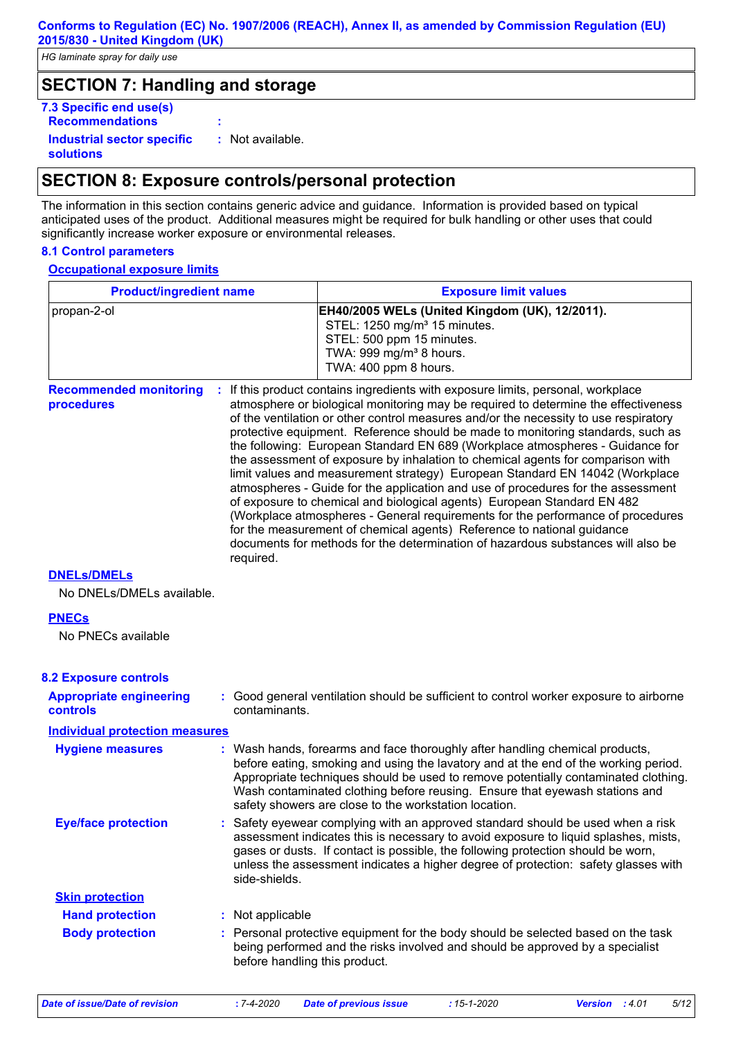## **SECTION 7: Handling and storage**

| 7.3 Specific end use(s)                        |                  |
|------------------------------------------------|------------------|
| <b>Recommendations</b>                         |                  |
| <b>Industrial sector specific</b><br>solutions | : Not available. |

## **SECTION 8: Exposure controls/personal protection**

The information in this section contains generic advice and guidance. Information is provided based on typical anticipated uses of the product. Additional measures might be required for bulk handling or other uses that could significantly increase worker exposure or environmental releases.

#### **8.1 Control parameters**

#### **Occupational exposure limits**

| <b>Product/ingredient name</b>                                                                                                                                                                                                                                                                                                                                    | <b>Exposure limit values</b>                                                                                                                                                                                                                                                                                                                                                                                                                                                                                                                                                                                                                                                                                                                                                                                                                                                                                                                                                                                        |  |  |  |
|-------------------------------------------------------------------------------------------------------------------------------------------------------------------------------------------------------------------------------------------------------------------------------------------------------------------------------------------------------------------|---------------------------------------------------------------------------------------------------------------------------------------------------------------------------------------------------------------------------------------------------------------------------------------------------------------------------------------------------------------------------------------------------------------------------------------------------------------------------------------------------------------------------------------------------------------------------------------------------------------------------------------------------------------------------------------------------------------------------------------------------------------------------------------------------------------------------------------------------------------------------------------------------------------------------------------------------------------------------------------------------------------------|--|--|--|
|                                                                                                                                                                                                                                                                                                                                                                   | EH40/2005 WELs (United Kingdom (UK), 12/2011).<br>STEL: 1250 mg/m <sup>3</sup> 15 minutes.<br>STEL: 500 ppm 15 minutes.<br>TWA: 999 mg/m <sup>3</sup> 8 hours.<br>TWA: 400 ppm 8 hours.                                                                                                                                                                                                                                                                                                                                                                                                                                                                                                                                                                                                                                                                                                                                                                                                                             |  |  |  |
| required.                                                                                                                                                                                                                                                                                                                                                         | If this product contains ingredients with exposure limits, personal, workplace<br>atmosphere or biological monitoring may be required to determine the effectiveness<br>of the ventilation or other control measures and/or the necessity to use respiratory<br>protective equipment. Reference should be made to monitoring standards, such as<br>the following: European Standard EN 689 (Workplace atmospheres - Guidance for<br>the assessment of exposure by inhalation to chemical agents for comparison with<br>limit values and measurement strategy) European Standard EN 14042 (Workplace<br>atmospheres - Guide for the application and use of procedures for the assessment<br>of exposure to chemical and biological agents) European Standard EN 482<br>(Workplace atmospheres - General requirements for the performance of procedures<br>for the measurement of chemical agents) Reference to national guidance<br>documents for methods for the determination of hazardous substances will also be |  |  |  |
|                                                                                                                                                                                                                                                                                                                                                                   |                                                                                                                                                                                                                                                                                                                                                                                                                                                                                                                                                                                                                                                                                                                                                                                                                                                                                                                                                                                                                     |  |  |  |
|                                                                                                                                                                                                                                                                                                                                                                   |                                                                                                                                                                                                                                                                                                                                                                                                                                                                                                                                                                                                                                                                                                                                                                                                                                                                                                                                                                                                                     |  |  |  |
|                                                                                                                                                                                                                                                                                                                                                                   |                                                                                                                                                                                                                                                                                                                                                                                                                                                                                                                                                                                                                                                                                                                                                                                                                                                                                                                                                                                                                     |  |  |  |
|                                                                                                                                                                                                                                                                                                                                                                   |                                                                                                                                                                                                                                                                                                                                                                                                                                                                                                                                                                                                                                                                                                                                                                                                                                                                                                                                                                                                                     |  |  |  |
| contaminants.                                                                                                                                                                                                                                                                                                                                                     | : Good general ventilation should be sufficient to control worker exposure to airborne                                                                                                                                                                                                                                                                                                                                                                                                                                                                                                                                                                                                                                                                                                                                                                                                                                                                                                                              |  |  |  |
| <b>Individual protection measures</b>                                                                                                                                                                                                                                                                                                                             |                                                                                                                                                                                                                                                                                                                                                                                                                                                                                                                                                                                                                                                                                                                                                                                                                                                                                                                                                                                                                     |  |  |  |
|                                                                                                                                                                                                                                                                                                                                                                   | : Wash hands, forearms and face thoroughly after handling chemical products,<br>before eating, smoking and using the lavatory and at the end of the working period.<br>Appropriate techniques should be used to remove potentially contaminated clothing.<br>Wash contaminated clothing before reusing. Ensure that eyewash stations and<br>safety showers are close to the workstation location.                                                                                                                                                                                                                                                                                                                                                                                                                                                                                                                                                                                                                   |  |  |  |
| : Safety eyewear complying with an approved standard should be used when a risk<br>assessment indicates this is necessary to avoid exposure to liquid splashes, mists,<br>gases or dusts. If contact is possible, the following protection should be worn,<br>unless the assessment indicates a higher degree of protection: safety glasses with<br>side-shields. |                                                                                                                                                                                                                                                                                                                                                                                                                                                                                                                                                                                                                                                                                                                                                                                                                                                                                                                                                                                                                     |  |  |  |
|                                                                                                                                                                                                                                                                                                                                                                   |                                                                                                                                                                                                                                                                                                                                                                                                                                                                                                                                                                                                                                                                                                                                                                                                                                                                                                                                                                                                                     |  |  |  |
| : Not applicable                                                                                                                                                                                                                                                                                                                                                  |                                                                                                                                                                                                                                                                                                                                                                                                                                                                                                                                                                                                                                                                                                                                                                                                                                                                                                                                                                                                                     |  |  |  |
|                                                                                                                                                                                                                                                                                                                                                                   | : Personal protective equipment for the body should be selected based on the task<br>being performed and the risks involved and should be approved by a specialist                                                                                                                                                                                                                                                                                                                                                                                                                                                                                                                                                                                                                                                                                                                                                                                                                                                  |  |  |  |
|                                                                                                                                                                                                                                                                                                                                                                   | before handling this product.                                                                                                                                                                                                                                                                                                                                                                                                                                                                                                                                                                                                                                                                                                                                                                                                                                                                                                                                                                                       |  |  |  |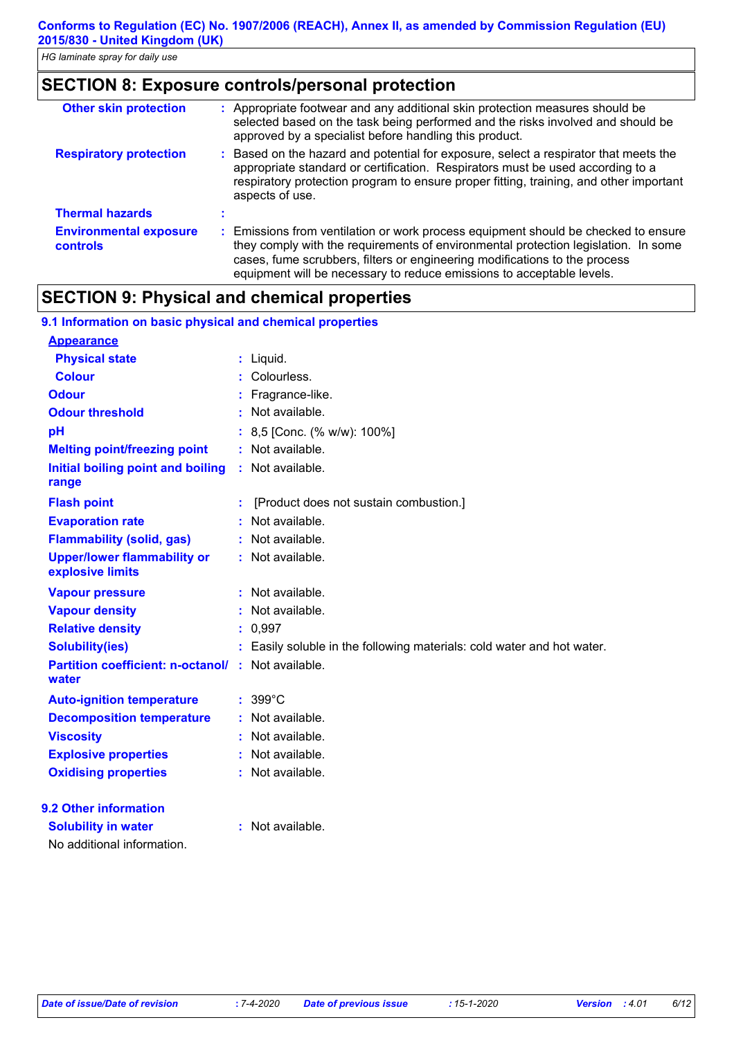# **SECTION 8: Exposure controls/personal protection**

| <b>Other skin protection</b>              | : Appropriate footwear and any additional skin protection measures should be<br>selected based on the task being performed and the risks involved and should be<br>approved by a specialist before handling this product.                                                                                                       |
|-------------------------------------------|---------------------------------------------------------------------------------------------------------------------------------------------------------------------------------------------------------------------------------------------------------------------------------------------------------------------------------|
| <b>Respiratory protection</b>             | : Based on the hazard and potential for exposure, select a respirator that meets the<br>appropriate standard or certification. Respirators must be used according to a<br>respiratory protection program to ensure proper fitting, training, and other important<br>aspects of use.                                             |
| <b>Thermal hazards</b>                    |                                                                                                                                                                                                                                                                                                                                 |
| <b>Environmental exposure</b><br>controls | : Emissions from ventilation or work process equipment should be checked to ensure<br>they comply with the requirements of environmental protection legislation. In some<br>cases, fume scrubbers, filters or engineering modifications to the process<br>equipment will be necessary to reduce emissions to acceptable levels. |

## **SECTION 9: Physical and chemical properties**

| 9.1 Information on basic physical and chemical properties   |                                                                        |
|-------------------------------------------------------------|------------------------------------------------------------------------|
| <b>Appearance</b>                                           |                                                                        |
| <b>Physical state</b>                                       | : Liquid.                                                              |
| <b>Colour</b>                                               | Colourless.                                                            |
| <b>Odour</b>                                                | : Fragrance-like.                                                      |
| <b>Odour threshold</b>                                      | Not available.                                                         |
| pH                                                          | : 8,5 [Conc. (% w/w): 100%]                                            |
| <b>Melting point/freezing point</b>                         | : Not available.                                                       |
| Initial boiling point and boiling<br>range                  | : Not available.                                                       |
| <b>Flash point</b>                                          | [Product does not sustain combustion.]                                 |
| <b>Evaporation rate</b>                                     | Not available.                                                         |
| <b>Flammability (solid, gas)</b>                            | : Not available.                                                       |
| <b>Upper/lower flammability or</b><br>explosive limits      | : Not available.                                                       |
| <b>Vapour pressure</b>                                      | : Not available.                                                       |
| <b>Vapour density</b>                                       | : Not available.                                                       |
| <b>Relative density</b>                                     | : 0,997                                                                |
| <b>Solubility(ies)</b>                                      | : Easily soluble in the following materials: cold water and hot water. |
| Partition coefficient: n-octanol/ : Not available.<br>water |                                                                        |
| <b>Auto-ignition temperature</b>                            | $: 399^{\circ}$ C                                                      |
| <b>Decomposition temperature</b>                            | : Not available.                                                       |
| <b>Viscosity</b>                                            | : Not available.                                                       |
| <b>Explosive properties</b>                                 | : Not available.                                                       |
| <b>Oxidising properties</b>                                 | : Not available.                                                       |
| 9.2 Other information                                       |                                                                        |
| <b>Solubility in water</b>                                  | : Not available.                                                       |
| No additional information.                                  |                                                                        |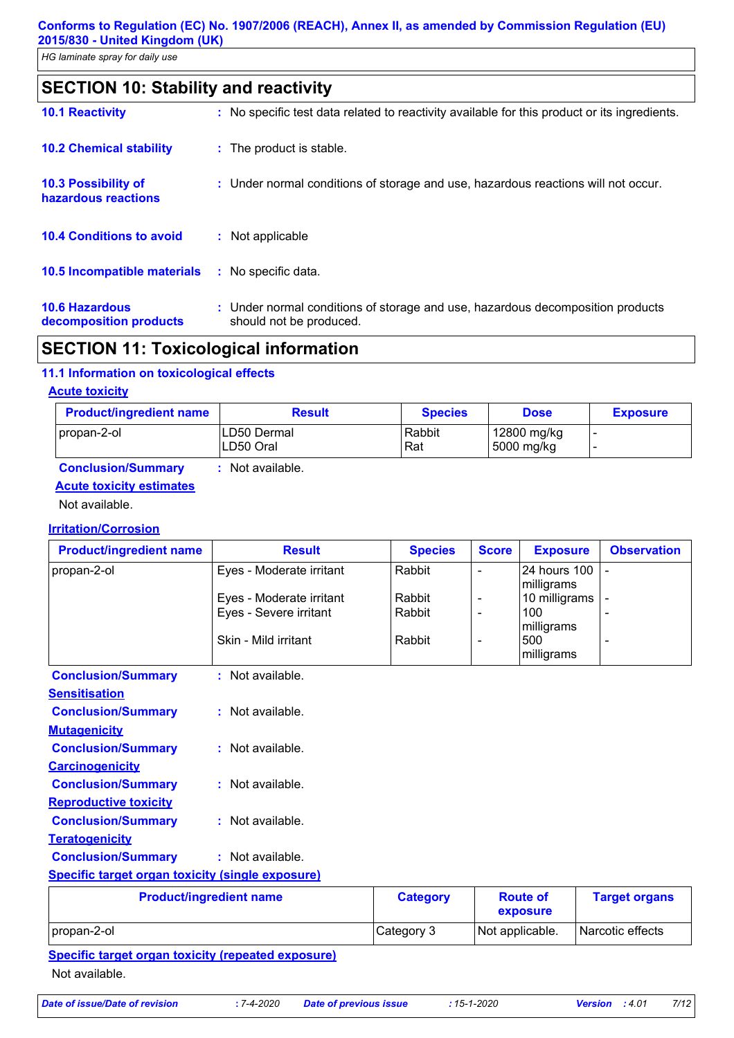*HG laminate spray for daily use*

|  | <b>SECTION 10: Stability and reactivity</b> |  |
|--|---------------------------------------------|--|
|--|---------------------------------------------|--|

| <b>10.1 Reactivity</b>                            | : No specific test data related to reactivity available for this product or its ingredients.              |
|---------------------------------------------------|-----------------------------------------------------------------------------------------------------------|
| <b>10.2 Chemical stability</b>                    | : The product is stable.                                                                                  |
| <b>10.3 Possibility of</b><br>hazardous reactions | : Under normal conditions of storage and use, hazardous reactions will not occur.                         |
| <b>10.4 Conditions to avoid</b>                   | : Not applicable                                                                                          |
| <b>10.5 Incompatible materials</b>                | : No specific data.                                                                                       |
| <b>10.6 Hazardous</b><br>decomposition products   | : Under normal conditions of storage and use, hazardous decomposition products<br>should not be produced. |

# **SECTION 11: Toxicological information**

## **11.1 Information on toxicological effects**

#### **Acute toxicity**

| <b>Product/ingredient name</b> | <b>Result</b> | <b>Species</b> | <b>Dose</b> | <b>Exposure</b> |
|--------------------------------|---------------|----------------|-------------|-----------------|
| propan-2-ol                    | LD50 Dermal   | Rabbit         | 12800 mg/kg | -               |
|                                | LD50 Oral     | Rat            | 5000 mg/kg  | -               |

## **Conclusion/Summary :** Not available. **Acute toxicity estimates**

Not available.

#### **Irritation/Corrosion**

| <b>Product/ingredient name</b>                          | <b>Result</b>            | <b>Species</b> | <b>Score</b>             | <b>Exposure</b>            | <b>Observation</b> |  |
|---------------------------------------------------------|--------------------------|----------------|--------------------------|----------------------------|--------------------|--|
| propan-2-ol                                             | Eyes - Moderate irritant | Rabbit         |                          | 24 hours 100<br>milligrams |                    |  |
|                                                         | Eyes - Moderate irritant | Rabbit         |                          | 10 milligrams              |                    |  |
|                                                         | Eyes - Severe irritant   | Rabbit         | $\overline{\phantom{a}}$ | 100                        |                    |  |
|                                                         |                          |                |                          | milligrams                 |                    |  |
|                                                         | Skin - Mild irritant     | Rabbit         |                          | 500                        |                    |  |
|                                                         |                          |                |                          | milligrams                 |                    |  |
| <b>Conclusion/Summary</b>                               | : Not available.         |                |                          |                            |                    |  |
| <b>Sensitisation</b>                                    |                          |                |                          |                            |                    |  |
| <b>Conclusion/Summary</b>                               | : Not available.         |                |                          |                            |                    |  |
| <b>Mutagenicity</b>                                     |                          |                |                          |                            |                    |  |
| <b>Conclusion/Summary</b>                               | : Not available.         |                |                          |                            |                    |  |
| <b>Carcinogenicity</b>                                  |                          |                |                          |                            |                    |  |
| <b>Conclusion/Summary</b>                               | : Not available.         |                |                          |                            |                    |  |
| <b>Reproductive toxicity</b>                            |                          |                |                          |                            |                    |  |
| <b>Conclusion/Summary</b>                               | $:$ Not available.       |                |                          |                            |                    |  |
| <b>Teratogenicity</b>                                   |                          |                |                          |                            |                    |  |
| <b>Conclusion/Summary</b>                               | : Not available.         |                |                          |                            |                    |  |
| <b>Specific target organ toxicity (single exposure)</b> |                          |                |                          |                            |                    |  |

| <b>Product/ingredient name</b> | <b>Category</b> | <b>Route of</b><br>exposure | <b>Target organs</b> |
|--------------------------------|-----------------|-----------------------------|----------------------|
| propan-2-ol                    | Category 3      | Not applicable.             | Narcotic effects     |
| $\sim$ $\sim$                  |                 |                             |                      |

## **Specific target organ toxicity (repeated exposure)** Not available.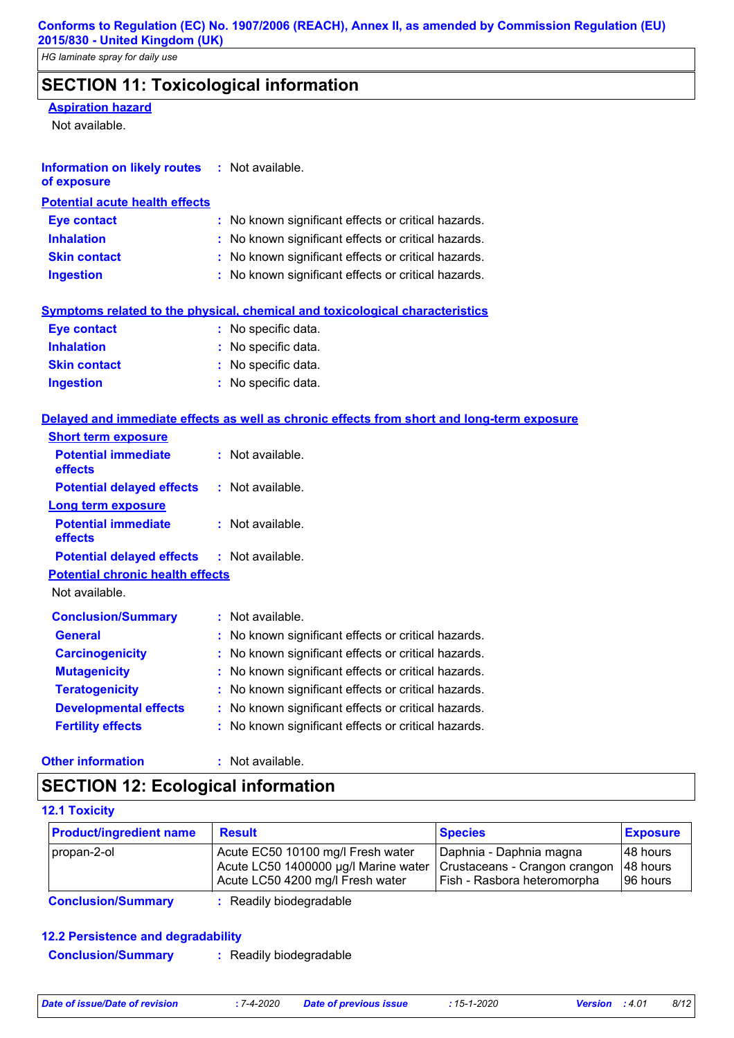# **SECTION 11: Toxicological information**

#### **Aspiration hazard**

Not available.

| <b>Information on likely routes</b> | : Not available. |
|-------------------------------------|------------------|
|                                     |                  |

| of exposure |  |
|-------------|--|
|-------------|--|

| <b>Potential acute health effects</b> |                                                     |
|---------------------------------------|-----------------------------------------------------|
| <b>Eve contact</b>                    | : No known significant effects or critical hazards. |
| <b>Inhalation</b>                     | : No known significant effects or critical hazards. |
| <b>Skin contact</b>                   | : No known significant effects or critical hazards. |
| <b>Ingestion</b>                      | : No known significant effects or critical hazards. |

## **Symptoms related to the physical, chemical and toxicological characteristics**

| <b>Eye contact</b>  | : No specific data. |
|---------------------|---------------------|
| <b>Inhalation</b>   | : No specific data. |
| <b>Skin contact</b> | : No specific data. |
| <b>Ingestion</b>    | : No specific data. |

## **Delayed and immediate effects as well as chronic effects from short and long-term exposure**

| <b>Short term exposure</b>                        |                                                     |  |
|---------------------------------------------------|-----------------------------------------------------|--|
| <b>Potential immediate</b><br>effects             | $:$ Not available.                                  |  |
| <b>Potential delayed effects</b>                  | : Not available.                                    |  |
| <b>Long term exposure</b>                         |                                                     |  |
| <b>Potential immediate</b><br>effects             | $:$ Not available.                                  |  |
| <b>Potential delayed effects : Not available.</b> |                                                     |  |
| <b>Potential chronic health effects</b>           |                                                     |  |
| Not available.                                    |                                                     |  |
| <b>Conclusion/Summary</b>                         | $:$ Not available.                                  |  |
| <b>General</b>                                    | : No known significant effects or critical hazards. |  |
| <b>Carcinogenicity</b>                            | : No known significant effects or critical hazards. |  |
| <b>Mutagenicity</b>                               | : No known significant effects or critical hazards. |  |
| <b>Teratogenicity</b>                             | : No known significant effects or critical hazards. |  |
| <b>Developmental effects</b>                      | : No known significant effects or critical hazards. |  |
| <b>Fertility effects</b>                          | : No known significant effects or critical hazards. |  |
|                                                   |                                                     |  |

#### **Other information :**

: Not available.

# **SECTION 12: Ecological information**

#### **12.1 Toxicity**

| <b>Product/ingredient name</b> | <b>Result</b>                                                                                                                                 | <b>Species</b>                                         | <b>Exposure</b>                   |
|--------------------------------|-----------------------------------------------------------------------------------------------------------------------------------------------|--------------------------------------------------------|-----------------------------------|
| propan-2-ol                    | Acute EC50 10100 mg/l Fresh water<br>Acute LC50 1400000 µg/l Marine water   Crustaceans - Crangon crangon<br>Acute LC50 4200 mg/l Fresh water | Daphnia - Daphnia magna<br>Fish - Rasbora heteromorpha | 48 hours<br>148 hours<br>96 hours |
| Conclusion Cummon              | Doodily biodogradahla                                                                                                                         |                                                        |                                   |

**Conclusion/Summary :** Readily biodegradable

## **12.2 Persistence and degradability**

| <b>Conclusion/Summary</b> | : Readily biodegradable |  |
|---------------------------|-------------------------|--|
|---------------------------|-------------------------|--|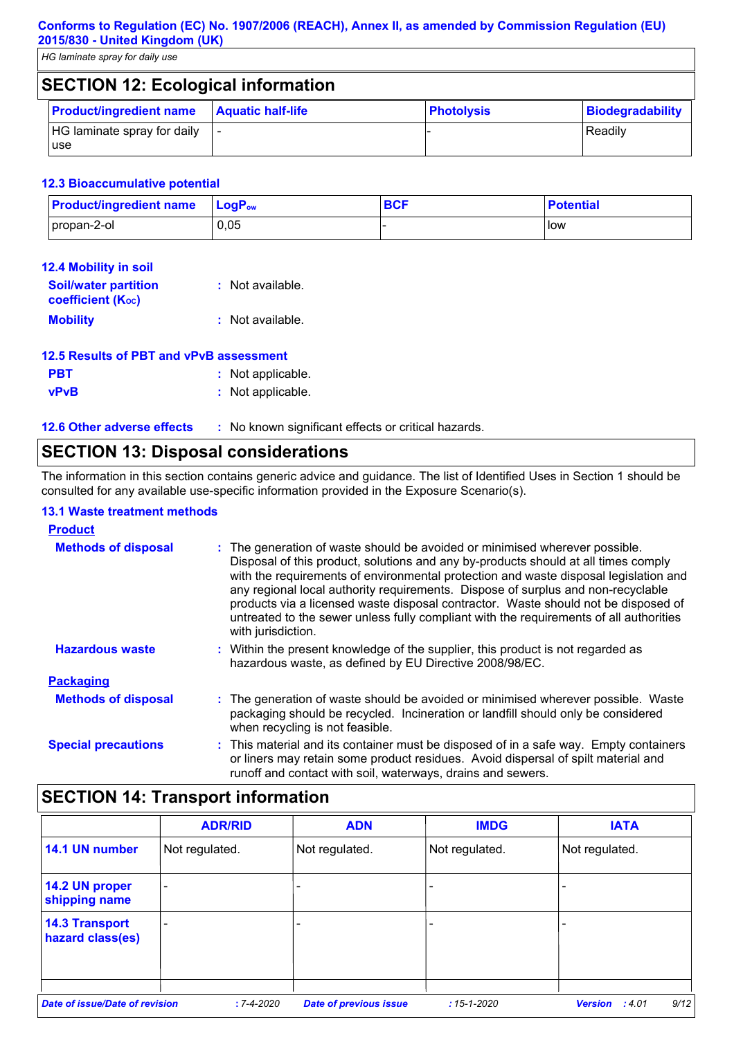*HG laminate spray for daily use*

| <b>SECTION 12: Ecological information</b> |                          |                   |                  |
|-------------------------------------------|--------------------------|-------------------|------------------|
| <b>Product/ingredient name</b>            | <b>Aquatic half-life</b> | <b>Photolysis</b> | Biodegradability |
| HG laminate spray for daily<br>use        |                          |                   | Readily          |

#### **12.3 Bioaccumulative potential**

| <b>Product/ingredient name</b> | $\mathsf{LogP}_\mathsf{ow}$ | <b>DOF</b><br>יסם | <b>Potential</b> |
|--------------------------------|-----------------------------|-------------------|------------------|
| propan-2-ol                    | 0,05                        |                   | low              |

| <b>12.4 Mobility in soil</b>                            |                  |
|---------------------------------------------------------|------------------|
| <b>Soil/water partition</b><br><b>coefficient (Koc)</b> | : Not available. |
| <b>Mobility</b>                                         | : Not available. |

| 12.5 Results of PBT and vPvB assessment |                   |  |
|-----------------------------------------|-------------------|--|
| <b>PBT</b>                              | : Not applicable. |  |
| <b>vPvB</b>                             | : Not applicable. |  |

| <b>12.6 Other adverse effects</b> | No known significant effects or critical hazards. |
|-----------------------------------|---------------------------------------------------|
|                                   |                                                   |

# **SECTION 13: Disposal considerations**

The information in this section contains generic advice and guidance. The list of Identified Uses in Section 1 should be consulted for any available use-specific information provided in the Exposure Scenario(s).

#### **13.1 Waste treatment methods**

| <b>Product</b>             |                                                                                                                                                                                                                                                                                                                                                                                                                                                                                                                                                     |
|----------------------------|-----------------------------------------------------------------------------------------------------------------------------------------------------------------------------------------------------------------------------------------------------------------------------------------------------------------------------------------------------------------------------------------------------------------------------------------------------------------------------------------------------------------------------------------------------|
| <b>Methods of disposal</b> | : The generation of waste should be avoided or minimised wherever possible.<br>Disposal of this product, solutions and any by-products should at all times comply<br>with the requirements of environmental protection and waste disposal legislation and<br>any regional local authority requirements. Dispose of surplus and non-recyclable<br>products via a licensed waste disposal contractor. Waste should not be disposed of<br>untreated to the sewer unless fully compliant with the requirements of all authorities<br>with jurisdiction. |
| <b>Hazardous waste</b>     | : Within the present knowledge of the supplier, this product is not regarded as<br>hazardous waste, as defined by EU Directive 2008/98/EC.                                                                                                                                                                                                                                                                                                                                                                                                          |
| <b>Packaging</b>           |                                                                                                                                                                                                                                                                                                                                                                                                                                                                                                                                                     |
| <b>Methods of disposal</b> | : The generation of waste should be avoided or minimised wherever possible. Waste<br>packaging should be recycled. Incineration or landfill should only be considered<br>when recycling is not feasible.                                                                                                                                                                                                                                                                                                                                            |
| <b>Special precautions</b> | : This material and its container must be disposed of in a safe way. Empty containers<br>or liners may retain some product residues. Avoid dispersal of spilt material and<br>runoff and contact with soil, waterways, drains and sewers.                                                                                                                                                                                                                                                                                                           |

# **SECTION 14: Transport information**

|                                           | <b>ADR/RID</b>           | <b>ADN</b>                    | <b>IMDG</b>      | <b>IATA</b>                     |
|-------------------------------------------|--------------------------|-------------------------------|------------------|---------------------------------|
| 14.1 UN number                            | Not regulated.           | Not regulated.                | Not regulated.   | Not regulated.                  |
| 14.2 UN proper<br>shipping name           | $\overline{\phantom{0}}$ |                               |                  |                                 |
| <b>14.3 Transport</b><br>hazard class(es) |                          |                               |                  |                                 |
| Date of issue/Date of revision            | $: 7 - 4 - 2020$         | <b>Date of previous issue</b> | $:15 - 1 - 2020$ | 9/12<br><b>Version</b><br>:4.01 |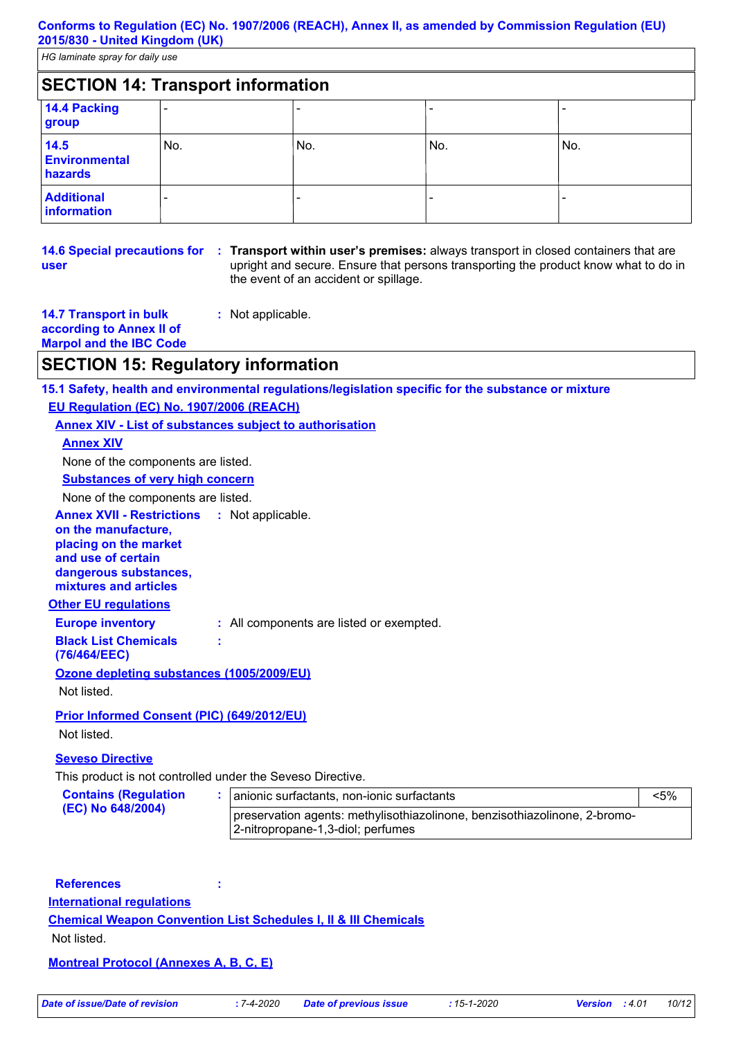| <b>SECTION 14: Transport information</b> |     |     |     |     |
|------------------------------------------|-----|-----|-----|-----|
| 14.4 Packing<br>group                    |     |     |     |     |
| 14.5<br><b>Environmental</b><br>hazards  | No. | No. | No. | No. |
| <b>Additional</b><br>information         |     |     |     |     |

|      | 14.6 Special precautions for : Transport within user's premises: alwa                     |
|------|-------------------------------------------------------------------------------------------|
| user | upright and secure. Ensure that persons<br>the community of the constant and analities of |

ays transport in closed containers that are transporting the product know what to do in the event of an accident or spillage.

**14.7 Transport in bulk according to Annex II of :** Not applicable.

**Marpol and the IBC Code**

## **SECTION 15: Regulatory information**

**15.1 Safety, health and environmental regulations/legislation specific for the substance or mixture EU Regulation (EC) No. 1907/2006 (REACH)**

## **Annex XIV - List of substances subject to authorisation**

#### **Annex XIV**

None of the components are listed.

**Substances of very high concern**

None of the components are listed.

**Annex XVII - Restrictions** : Not applicable.

**on the manufacture, placing on the market and use of certain dangerous substances, mixtures and articles**

## **Other EU regulations**

**Europe inventory :** All components are listed or exempted.

#### **Black List Chemicals**

**(76/464/EEC)**

#### **Ozone depleting substances (1005/2009/EU)**

Not listed.

#### **Prior Informed Consent (PIC) (649/2012/EU)**

Not listed.

#### **Seveso Directive**

This product is not controlled under the Seveso Directive.

**:**

| <b>Contains (Regulation</b> | anionic surfactants, non-ionic surfactants                                                                     | <5% |  |
|-----------------------------|----------------------------------------------------------------------------------------------------------------|-----|--|
| (EC) No 648/2004)           | preservation agents: methylisothiazolinone, benzisothiazolinone, 2-bromo-<br>2-nitropropane-1,3-diol; perfumes |     |  |

## **References :**

**International regulations**

#### **Chemical Weapon Convention List Schedules I, II & III Chemicals**

Not listed.

#### **Montreal Protocol (Annexes A, B, C, E)**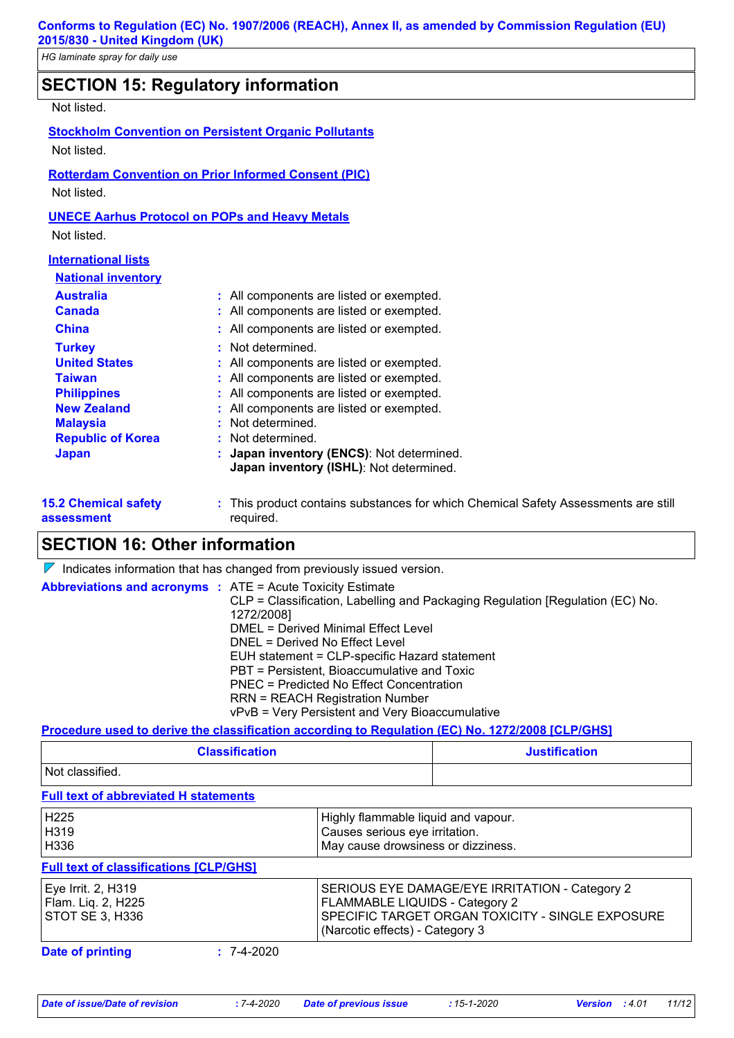# **SECTION 15: Regulatory information**

# Not listed.

| <u>INUL IISLEU.</u>                                                                                                                                        |                                                                                                                                                                                                                                                                                                                       |
|------------------------------------------------------------------------------------------------------------------------------------------------------------|-----------------------------------------------------------------------------------------------------------------------------------------------------------------------------------------------------------------------------------------------------------------------------------------------------------------------|
|                                                                                                                                                            | <b>Stockholm Convention on Persistent Organic Pollutants</b>                                                                                                                                                                                                                                                          |
| Not listed.                                                                                                                                                |                                                                                                                                                                                                                                                                                                                       |
|                                                                                                                                                            | <b>Rotterdam Convention on Prior Informed Consent (PIC)</b>                                                                                                                                                                                                                                                           |
| Not listed.                                                                                                                                                |                                                                                                                                                                                                                                                                                                                       |
|                                                                                                                                                            | <b>UNECE Aarhus Protocol on POPs and Heavy Metals</b>                                                                                                                                                                                                                                                                 |
| Not listed.                                                                                                                                                |                                                                                                                                                                                                                                                                                                                       |
| <b>International lists</b>                                                                                                                                 |                                                                                                                                                                                                                                                                                                                       |
| <b>National inventory</b>                                                                                                                                  |                                                                                                                                                                                                                                                                                                                       |
| <b>Australia</b><br><b>Canada</b>                                                                                                                          | : All components are listed or exempted.<br>: All components are listed or exempted.                                                                                                                                                                                                                                  |
| China                                                                                                                                                      | All components are listed or exempted.                                                                                                                                                                                                                                                                                |
| <b>Turkey</b><br><b>United States</b><br><b>Taiwan</b><br><b>Philippines</b><br><b>New Zealand</b><br><b>Malaysia</b><br><b>Republic of Korea</b><br>Japan | Not determined.<br>All components are listed or exempted.<br>All components are listed or exempted.<br>All components are listed or exempted.<br>All components are listed or exempted.<br>Not determined.<br>: Not determined.<br>Japan inventory (ENCS): Not determined.<br>Japan inventory (ISHL): Not determined. |
|                                                                                                                                                            |                                                                                                                                                                                                                                                                                                                       |

**15.2 Chemical safety assessment**

This product contains substances for which Chemical Safety Assessments are still **:** required.

# **SECTION 16: Other information**

 $\nabla$  Indicates information that has changed from previously issued version.

| <b>Abbreviations and acronyms : ATE = Acute Toxicity Estimate</b> | CLP = Classification, Labelling and Packaging Regulation [Regulation (EC) No.<br>1272/2008] |
|-------------------------------------------------------------------|---------------------------------------------------------------------------------------------|
|                                                                   | DMEL = Derived Minimal Effect Level                                                         |
|                                                                   | DNEL = Derived No Effect Level                                                              |
|                                                                   | EUH statement = CLP-specific Hazard statement                                               |
|                                                                   | PBT = Persistent, Bioaccumulative and Toxic                                                 |
|                                                                   | PNEC = Predicted No Effect Concentration                                                    |
|                                                                   | <b>RRN = REACH Registration Number</b>                                                      |
|                                                                   | vPvB = Very Persistent and Very Bioaccumulative                                             |

#### **Procedure used to derive the classification according to Regulation (EC) No. 1272/2008 [CLP/GHS]**

| <b>Classification</b> | <b>Justification</b> |  |
|-----------------------|----------------------|--|
| Not classified.       |                      |  |

**Full text of abbreviated H statements**

| H225<br>H319<br>H336                                               | Highly flammable liquid and vapour.<br>Causes serious eye irritation.<br>May cause drowsiness or dizziness.                                                             |
|--------------------------------------------------------------------|-------------------------------------------------------------------------------------------------------------------------------------------------------------------------|
| <b>Full text of classifications [CLP/GHS]</b>                      |                                                                                                                                                                         |
| Eye Irrit. 2, H319<br>Flam. Liq. 2, H225<br><b>STOT SE 3, H336</b> | SERIOUS EYE DAMAGE/EYE IRRITATION - Category 2<br>FLAMMABLE LIQUIDS - Category 2<br>SPECIFIC TARGET ORGAN TOXICITY - SINGLE EXPOSURE<br>(Narcotic effects) - Category 3 |
| <b>Date of printing</b><br>$: 7-4-2020$                            |                                                                                                                                                                         |
|                                                                    |                                                                                                                                                                         |

*Date of issue/Date of revision* **:** *7-4-2020 Date of previous issue : 15-1-2020 Version : 4.01 11/12*